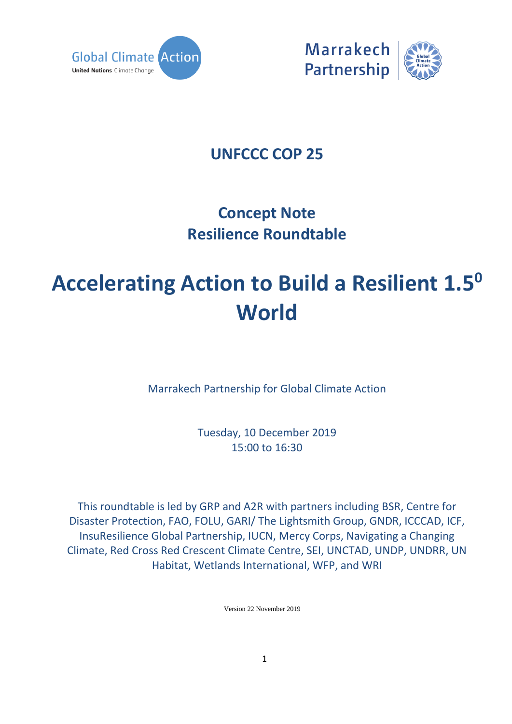



### **UNFCCC COP 25**

## **Concept Note Resilience Roundtable**

# **Accelerating Action to Build a Resilient 1.5<sup>0</sup> World**

Marrakech Partnership for Global Climate Action

Tuesday, 10 December 2019 15:00 to 16:30

This roundtable is led by GRP and A2R with partners including BSR, Centre for Disaster Protection, FAO, FOLU, GARI/ The Lightsmith Group, GNDR, ICCCAD, ICF, InsuResilience Global Partnership, IUCN, Mercy Corps, Navigating a Changing Climate, Red Cross Red Crescent Climate Centre, SEI, UNCTAD, UNDP, UNDRR, UN Habitat, Wetlands International, WFP, and WRI

Version 22 November 2019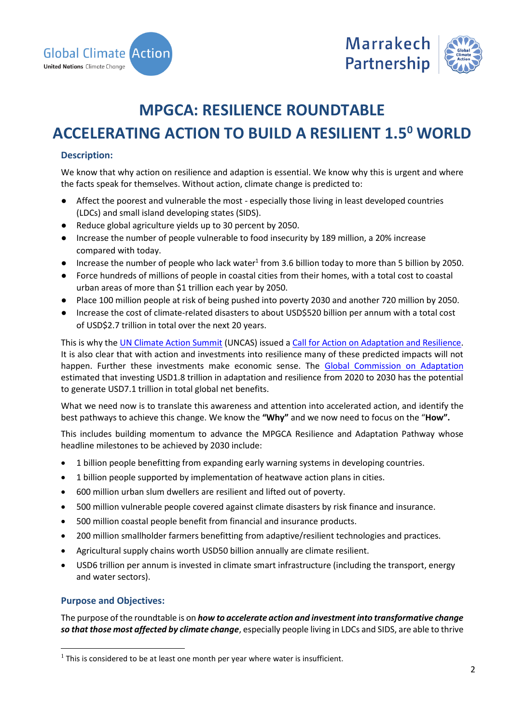



### **MPGCA: RESILIENCE ROUNDTABLE**

### **ACCELERATING ACTION TO BUILD A RESILIENT 1.5<sup>0</sup> WORLD**

#### **Description:**

We know that why action on resilience and adaption is essential. We know why this is urgent and where the facts speak for themselves. Without action, climate change is predicted to:

- Affect the poorest and vulnerable the most especially those living in least developed countries (LDCs) and small island developing states (SIDS).
- Reduce global agriculture yields up to 30 percent by 2050.
- Increase the number of people vulnerable to food insecurity by 189 million, a 20% increase compared with today.
- Increase the number of people who lack water<sup>1</sup> from 3.6 billion today to more than 5 billion by 2050.
- Force hundreds of millions of people in coastal cities from their homes, with a total cost to coastal urban areas of more than \$1 trillion each year by 2050.
- Place 100 million people at risk of being pushed into poverty 2030 and another 720 million by 2050.
- Increase the cost of climate-related disasters to about USD\$520 billion per annum with a total cost of USD\$2.7 trillion in total over the next 20 years.

This is why the [UN Climate Action Summit](https://www.un.org/en/climatechange/un-climate-summit-2019.shtml) (UNCAS) issued a [Call for Action on Adaptation and Resilience.](https://d1keuthy5s86c8.cloudfront.net/static/ems/upload/files/A_Call_for_Action_on_Adaptation_and_Resilience_.pdf) It is also clear that with action and investments into resilience many of these predicted impacts will not happen. Further these investments make economic sense. The [Global Commission on Adaptation](https://gca.org/global-commission-on-adaptation/report) estimated that investing USD1.8 trillion in adaptation and resilience from 2020 to 2030 has the potential to generate USD7.1 trillion in total global net benefits.

What we need now is to translate this awareness and attention into accelerated action, and identify the best pathways to achieve this change. We know the **"Why"** and we now need to focus on the "**How".**

This includes building momentum to advance the MPGCA Resilience and Adaptation Pathway whose headline milestones to be achieved by 2030 include:

- 1 billion people benefitting from expanding early warning systems in developing countries.
- 1 billion people supported by implementation of heatwave action plans in cities.
- 600 million urban slum dwellers are resilient and lifted out of poverty.
- 500 million vulnerable people covered against climate disasters by risk finance and insurance.
- 500 million coastal people benefit from financial and insurance products.
- 200 million smallholder farmers benefitting from adaptive/resilient technologies and practices.
- Agricultural supply chains worth USD50 billion annually are climate resilient.
- USD6 trillion per annum is invested in climate smart infrastructure (including the transport, energy and water sectors).

#### **Purpose and Objectives:**

l

The purpose of the roundtable is on *how to accelerate action and investment into transformative change so that those most affected by climate change*, especially people living in LDCs and SIDS, are able to thrive

 $<sup>1</sup>$  This is considered to be at least one month per year where water is insufficient.</sup>